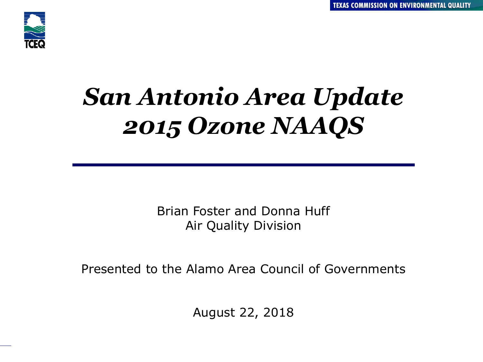

# *San Antonio Area Update 2015 Ozone NAAQS*

Brian Foster and Donna Huff Air Quality Division

Presented to the Alamo Area Council of Governments

August 22, 2018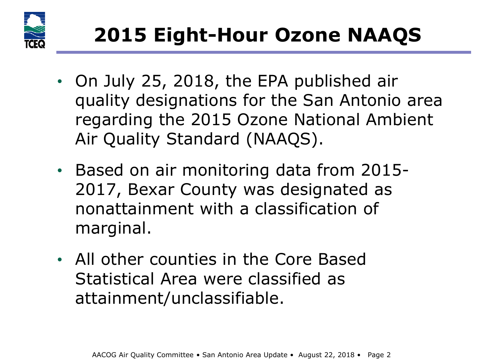

- On July 25, 2018, the EPA published air quality designations for the San Antonio area regarding the 2015 Ozone National Ambient Air Quality Standard (NAAQS).
- Based on air monitoring data from 2015- 2017, Bexar County was designated as nonattainment with a classification of marginal.
- All other counties in the Core Based Statistical Area were classified as attainment/unclassifiable.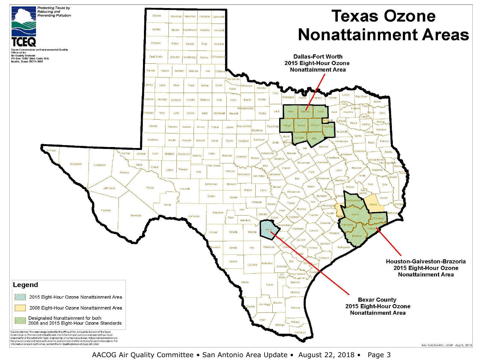

AACOG Air Quality Committee • San Antonio Area Update • August 22, 2018 • Page 3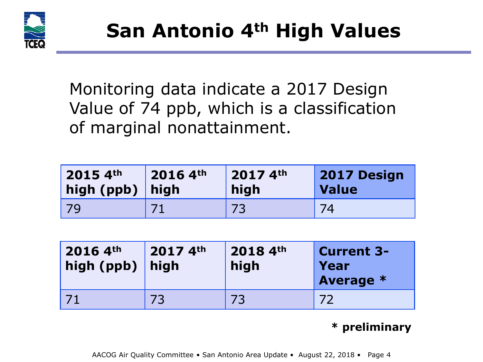

Monitoring data indicate a 2017 Design Value of 74 ppb, which is a classification of marginal nonattainment.

| $2015.4$ <sup>th</sup> | 2016 4th | $20174$ <sup>th</sup> | 2017 Design |
|------------------------|----------|-----------------------|-------------|
| high (ppb) high        |          | high                  | Value       |
| 79                     |          |                       | 74          |

| $20164$ th<br>high (ppb) $ $ | $20174$ th<br>high | 2018 4th<br>high | <b>Current 3-1</b><br>Year<br><b>Average *</b> |
|------------------------------|--------------------|------------------|------------------------------------------------|
|                              | 73                 | 73               |                                                |

#### **\* preliminary**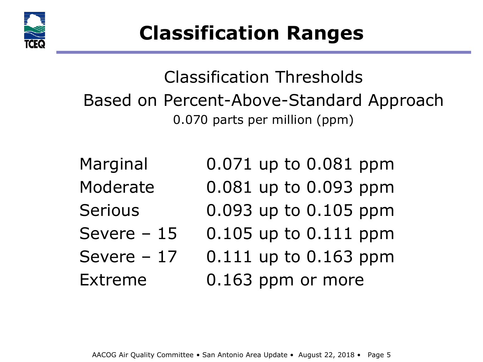

Classification Thresholds Based on Percent-Above-Standard Approach 0.070 parts per million (ppm)

Marginal 0.071 up to 0.081 ppm Moderate 0.081 up to 0.093 ppm Serious 0.093 up to 0.105 ppm Severe  $-15$  0.105 up to 0.111 ppm Severe  $-17$  0.111 up to 0.163 ppm Extreme **0.163 ppm or more**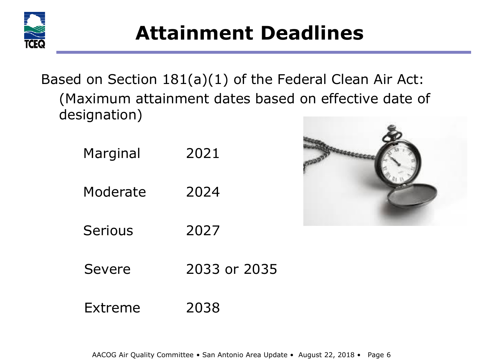

### **Attainment Deadlines**

Based on Section 181(a)(1) of the Federal Clean Air Act: (Maximum attainment dates based on effective date of designation)

| Marginal | 2021         |  |  |
|----------|--------------|--|--|
| Moderate | 2024         |  |  |
| Serious  | 2027         |  |  |
| Severe   | 2033 or 2035 |  |  |
| Extreme  | 2038         |  |  |

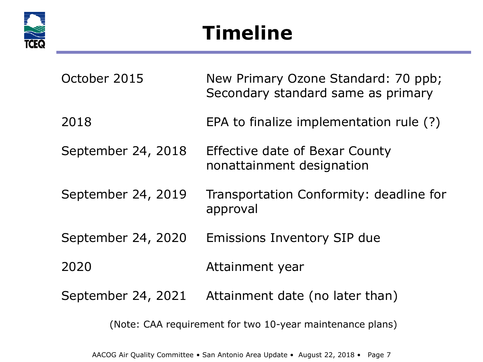

## **Timeline**

| October 2015       | New Primary Ozone Standard: 70 ppb;<br>Secondary standard same as primary |
|--------------------|---------------------------------------------------------------------------|
| 2018               | EPA to finalize implementation rule (?)                                   |
| September 24, 2018 | <b>Effective date of Bexar County</b><br>nonattainment designation        |
| September 24, 2019 | Transportation Conformity: deadline for<br>approval                       |
| September 24, 2020 | Emissions Inventory SIP due                                               |
| 2020               | Attainment year                                                           |
| September 24, 2021 | Attainment date (no later than)                                           |
|                    | (Note: CAA requirement for two 10-year maintenance plans)                 |

AACOG Air Quality Committee • San Antonio Area Update • August 22, 2018 • Page 7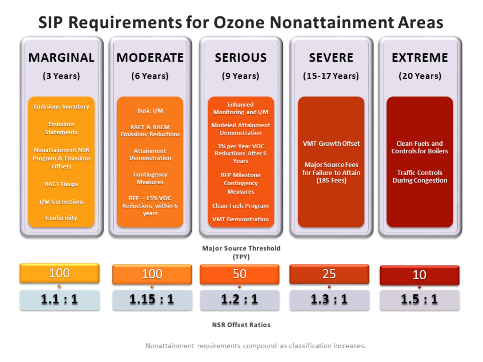#### **SIP Requirements for Ozone Nonattainment Areas**

| <b>MARGINAL</b><br>(3 Years)<br><b>Emissions Inventory</b><br><b>Emissions</b><br><b>Statements</b><br><b>Nonattainment NSR</b><br><b>Program &amp; Emissions</b><br><b>Offsets</b><br><b>RACT Fixups</b><br>I/M Corrections<br>Conformity | <b>MODERATE</b><br>(6 Years)<br>Basic I/M<br><b>RACT &amp; RACM</b><br><b>Emissions Reductions</b><br><b>Attainment</b><br><b>Demonstration</b><br>Contingency<br><b>Measures</b><br><b>RFP - 15% VOC</b><br><b>Reductions within 6</b><br>years | <b>SERIOUS</b><br>(9 Years)<br><b>Enhanced</b><br>Monitoring and I/M<br><b>Modeled Attainment</b><br><b>Demonstration</b><br>3% per Year VOC<br><b>Reductions After 6</b><br><b>Years</b><br><b>RFP Milestone</b><br>Contingency<br><b>Measures</b><br><b>Clean Fuels Program</b><br><b>VMT Demonstration</b> | <b>SEVERE</b><br>(15-17 Years)<br><b>VMT Growth Offset</b><br><b>Major Source Fees</b><br>for Failure to Attain<br>(185 Fees) | <b>EXTREME</b><br>(20 Years)<br><b>Clean Fuels and</b><br><b>Controls for Boilers</b><br><b>Traffic Controls</b><br><b>During Congestion</b> |
|--------------------------------------------------------------------------------------------------------------------------------------------------------------------------------------------------------------------------------------------|--------------------------------------------------------------------------------------------------------------------------------------------------------------------------------------------------------------------------------------------------|---------------------------------------------------------------------------------------------------------------------------------------------------------------------------------------------------------------------------------------------------------------------------------------------------------------|-------------------------------------------------------------------------------------------------------------------------------|----------------------------------------------------------------------------------------------------------------------------------------------|
|                                                                                                                                                                                                                                            |                                                                                                                                                                                                                                                  | Major Source Threshold<br>(TPY)                                                                                                                                                                                                                                                                               |                                                                                                                               |                                                                                                                                              |
| 100                                                                                                                                                                                                                                        | 100                                                                                                                                                                                                                                              | 50                                                                                                                                                                                                                                                                                                            | 25                                                                                                                            | 10                                                                                                                                           |
| $\mathbf{1.1:1}$                                                                                                                                                                                                                           | ${\bf 1.15:1}$                                                                                                                                                                                                                                   | 1.2:1                                                                                                                                                                                                                                                                                                         | ${\bf 1.3:1}$                                                                                                                 | $\mathbf{1.5}:1$                                                                                                                             |

**NSR Offset Ratios** 

Nonattainment requirements compound as classification increases.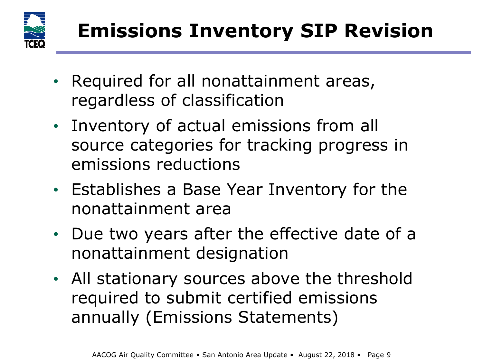

- Required for all nonattainment areas, regardless of classification
- Inventory of actual emissions from all source categories for tracking progress in emissions reductions
- Establishes a Base Year Inventory for the nonattainment area
- Due two years after the effective date of a nonattainment designation
- All stationary sources above the threshold required to submit certified emissions annually (Emissions Statements)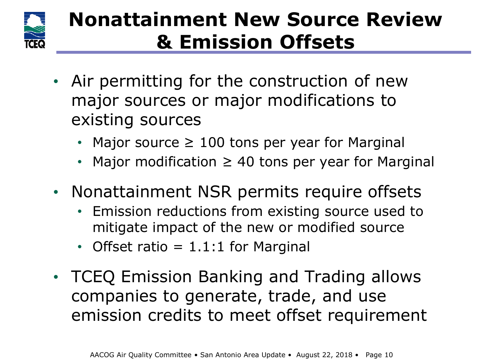

### **Nonattainment New Source Review & Emission Offsets**

- Air permitting for the construction of new major sources or major modifications to existing sources
	- Major source  $\geq 100$  tons per year for Marginal
	- Major modification  $\geq$  40 tons per year for Marginal
- Nonattainment NSR permits require offsets
	- Emission reductions from existing source used to mitigate impact of the new or modified source
	- Offset ratio  $= 1.1:1$  for Marginal
- TCEQ Emission Banking and Trading allows companies to generate, trade, and use emission credits to meet offset requirement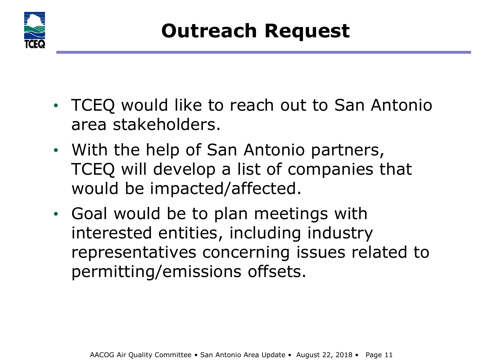

- TCEQ would like to reach out to San Antonio area stakeholders.
- With the help of San Antonio partners, TCEQ will develop a list of companies that would be impacted/affected.
- Goal would be to plan meetings with interested entities, including industry representatives concerning issues related to permitting/emissions offsets.